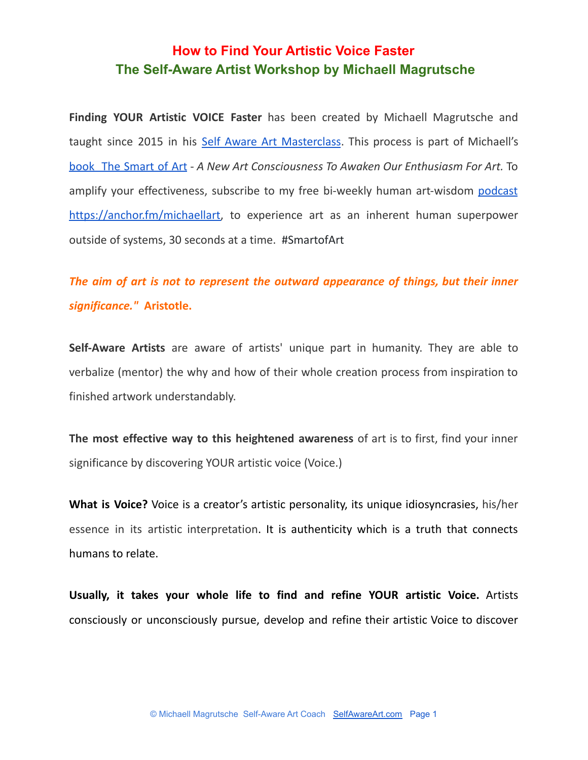# **How to Find Your Artistic Voice Faster The Self-Aware Artist Workshop by Michaell Magrutsche**

**Finding YOUR Artistic VOICE Faster** has been created by Michaell Magrutsche and taught since 2015 in his Self Aware Art [Masterclass](https://michaellm.com/self-aware-art-education). This process is part of Michaell's book The [Smart](http://bit.ly/SmartofArt) of Art - *A New Art [Consciousness](https://www.amazon.com/Smart-Art-Black-White-Consciousness/dp/B098GX2718/ref=sr_1_1?keywords=michaell+magrutsche&qid=1651335162&sr=8-1) To Awaken Our Enthusiasm For Art.* To amplify your effectiveness, subscribe to my free bi-weekly human art-wisdom [podcast](https://anchor.fm/michaellart) [https://anchor.fm/michaellart,](https://anchor.fm/michaellart) to experience art as an inherent human superpower outside of systems, 30 seconds at a time. #SmartofArt

*The aim of art is not to represent the outward appearance of things, but their inner significance."* **Aristotle.**

**Self-Aware Artists** are aware of artists' unique part in humanity. They are able to verbalize (mentor) the why and how of their whole creation process from inspiration to finished artwork understandably.

**The most effective way to this heightened awareness** of art is to first, find your inner significance by discovering YOUR artistic voice (Voice.)

**What is Voice?** Voice is a creator's artistic personality, its unique idiosyncrasies, his/her essence in its artistic interpretation. It is authenticity which is a truth that connects humans to relate.

**Usually, it takes your whole life to find and refine YOUR artistic Voice.** Artists consciously or unconsciously pursue, develop and refine their artistic Voice to discover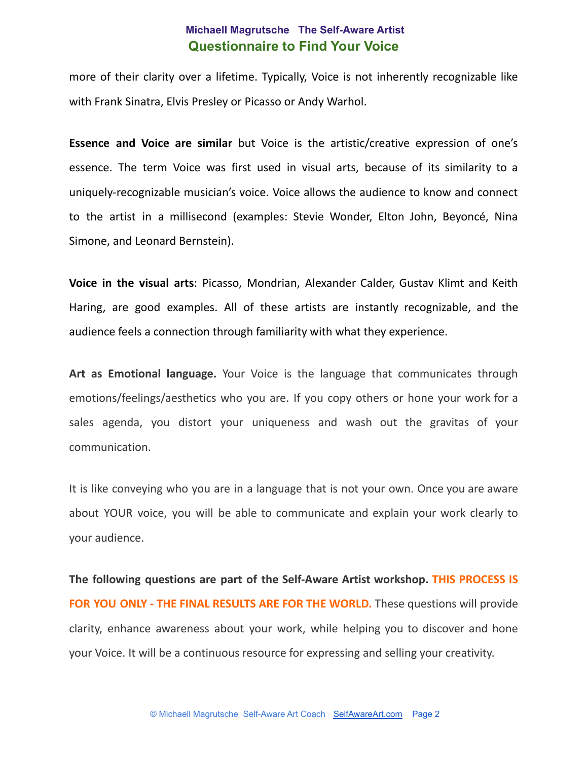more of their clarity over a lifetime. Typically, Voice is not inherently recognizable like with Frank Sinatra, Elvis Presley or Picasso or Andy Warhol.

**Essence and Voice are similar** but Voice is the artistic/creative expression of one's essence. The term Voice was first used in visual arts, because of its similarity to a uniquely-recognizable musician's voice. Voice allows the audience to know and connect to the artist in a millisecond (examples: Stevie Wonder, Elton John, Beyoncé, Nina Simone, and Leonard Bernstein).

**Voice in the visual arts**: Picasso, Mondrian, Alexander Calder, Gustav Klimt and Keith Haring, are good examples. All of these artists are instantly recognizable, and the audience feels a connection through familiarity with what they experience.

**Art as Emotional language.** Your Voice is the language that communicates through emotions/feelings/aesthetics who you are. If you copy others or hone your work for a sales agenda, you distort your uniqueness and wash out the gravitas of your communication.

It is like conveying who you are in a language that is not your own. Once you are aware about YOUR voice, you will be able to communicate and explain your work clearly to your audience.

**The following questions are part of the Self-Aware Artist workshop. THIS PROCESS IS FOR YOU ONLY - THE FINAL RESULTS ARE FOR THE WORLD.** These questions will provide clarity, enhance awareness about your work, while helping you to discover and hone your Voice. It will be a continuous resource for expressing and selling your creativity.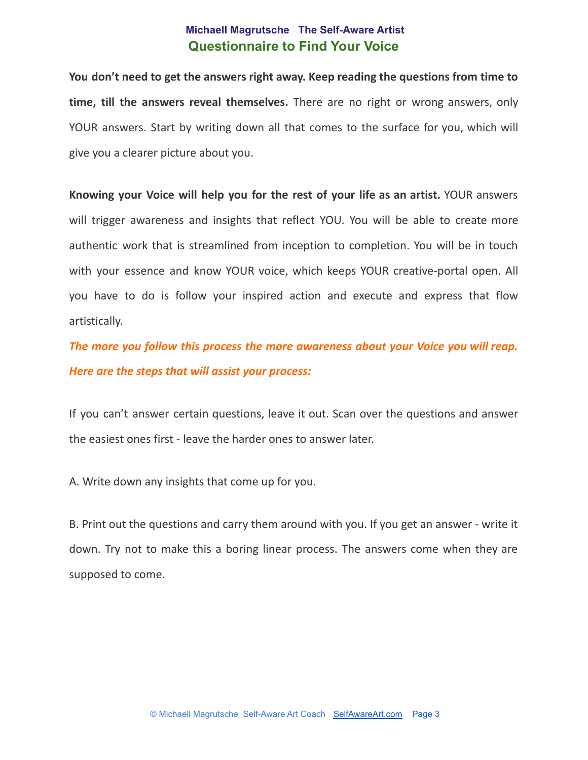**You don't need to get the answers right away. Keep reading the questions from time to time, till the answers reveal themselves.** There are no right or wrong answers, only YOUR answers. Start by writing down all that comes to the surface for you, which will give you a clearer picture about you.

**Knowing your Voice will help you for the rest of your life as an artist.** YOUR answers will trigger awareness and insights that reflect YOU. You will be able to create more authentic work that is streamlined from inception to completion. You will be in touch with your essence and know YOUR voice, which keeps YOUR creative-portal open. All you have to do is follow your inspired action and execute and express that flow artistically.

*The more you follow this process the more awareness about your Voice you will reap. Here are the steps that will assist your process:*

If you can't answer certain questions, leave it out. Scan over the questions and answer the easiest ones first - leave the harder ones to answer later.

A. Write down any insights that come up for you.

B. Print out the questions and carry them around with you. If you get an answer - write it down. Try not to make this a boring linear process. The answers come when they are supposed to come.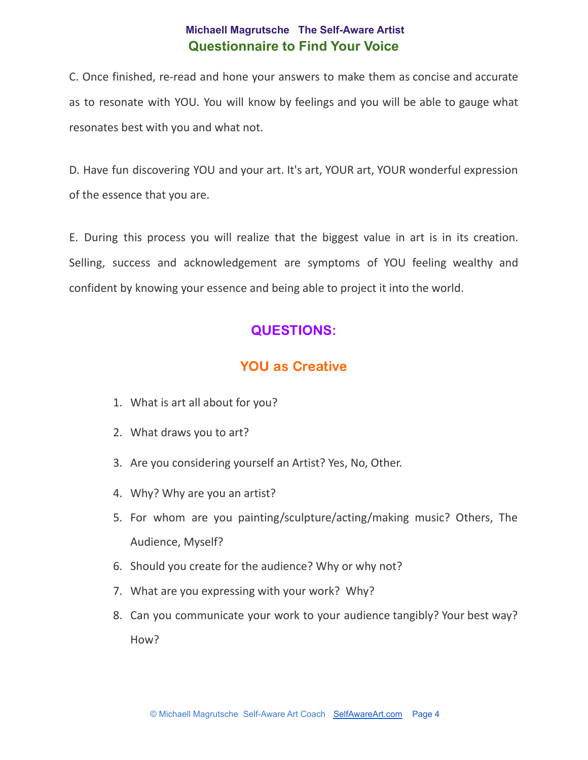C. Once finished, re-read and hone your answers to make them as concise and accurate as to resonate with YOU. You will know by feelings and you will be able to gauge what resonates best with you and what not.

D. Have fun discovering YOU and your art. It's art, YOUR art, YOUR wonderful expression of the essence that you are.

E. During this process you will realize that the biggest value in art is in its creation. Selling, success and acknowledgement are symptoms of YOU feeling wealthy and confident by knowing your essence and being able to project it into the world.

# QUESTIONS:

## YOU as Creative

- 1. What is art all about for you?
- 2. What draws you to art?
- 3. Are you considering yourself an Artist? Yes, No, Other.
- 4. Why? Why are you an artist?
- 5. For whom are you painting/sculpture/acting/making music? Others, The Audience, Myself?
- 6. Should you create for the audience? Why or why not?
- 7. What are you expressing with your work? Why?
- 8. Can you communicate your work to your audience tangibly? Your best way? How?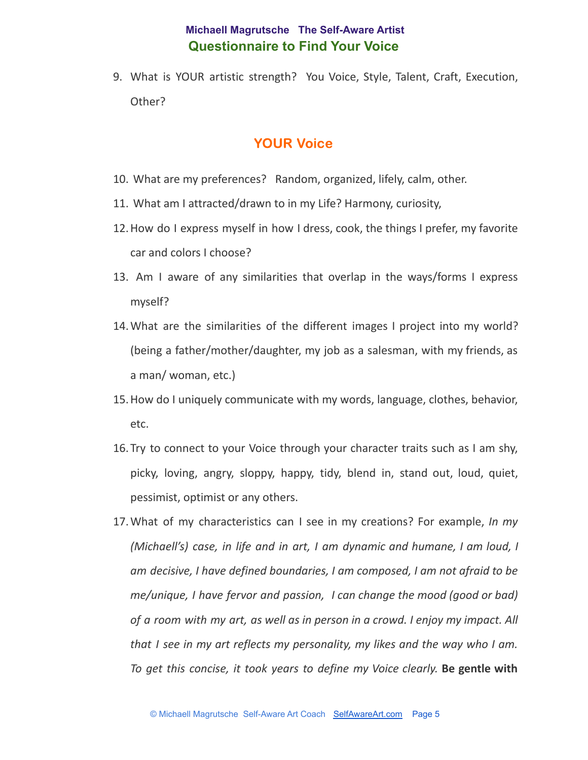9. What is YOUR artistic strength? You Voice, Style, Talent, Craft, Execution, Other?

## YOUR Voice

- 10. What are my preferences? Random, organized, lifely, calm, other.
- 11. What am I attracted/drawn to in my Life? Harmony, curiosity,
- 12.How do I express myself in how I dress, cook, the things I prefer, my favorite car and colors I choose?
- 13. Am I aware of any similarities that overlap in the ways/forms I express myself?
- 14.What are the similarities of the different images I project into my world? (being a father/mother/daughter, my job as a salesman, with my friends, as a man/ woman, etc.)
- 15.How do I uniquely communicate with my words, language, clothes, behavior, etc.
- 16.Try to connect to your Voice through your character traits such as I am shy, picky, loving, angry, sloppy, happy, tidy, blend in, stand out, loud, quiet, pessimist, optimist or any others.
- 17.What of my characteristics can I see in my creations? For example, *In my (Michaell's) case, in life and in art, I am dynamic and humane, I am loud, I am decisive, I have defined boundaries, I am composed, I am not afraid to be me/unique, I have fervor and passion, I can change the mood (good or bad) of a room with my art, as well as in person in a crowd. I enjoy my impact. All that I see in my art reflects my personality, my likes and the way who I am. To get this concise, it took years to define my Voice clearly.* **Be gentle with**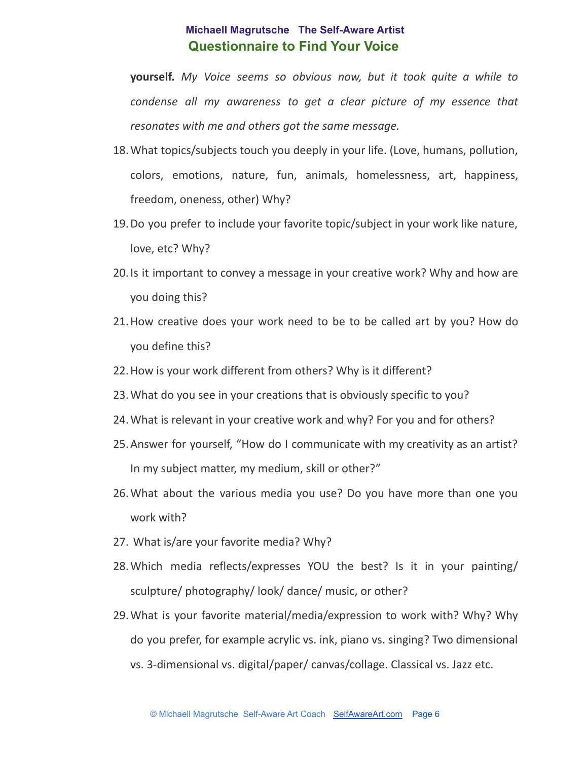**yourself.** *My Voice seems so obvious now, but it took quite a while to condense all my awareness to get a clear picture of my essence that resonates with me and others got the same message.*

- 18.What topics/subjects touch you deeply in your life. (Love, humans, pollution, colors, emotions, nature, fun, animals, homelessness, art, happiness, freedom, oneness, other) Why?
- 19.Do you prefer to include your favorite topic/subject in your work like nature, love, etc? Why?
- 20.Is it important to convey a message in your creative work? Why and how are you doing this?
- 21.How creative does your work need to be to be called art by you? How do you define this?
- 22.How is your work different from others? Why is it different?
- 23.What do you see in your creations that is obviously specific to you?
- 24.What is relevant in your creative work and why? For you and for others?
- 25.Answer for yourself, "How do I communicate with my creativity as an artist? In my subject matter, my medium, skill or other?"
- 26.What about the various media you use? Do you have more than one you work with?
- 27. What is/are your favorite media? Why?
- 28.Which media reflects/expresses YOU the best? Is it in your painting/ sculpture/ photography/ look/ dance/ music, or other?
- 29.What is your favorite material/media/expression to work with? Why? Why do you prefer, for example acrylic vs. ink, piano vs. singing? Two dimensional vs. 3-dimensional vs. digital/paper/ canvas/collage. Classical vs. Jazz etc.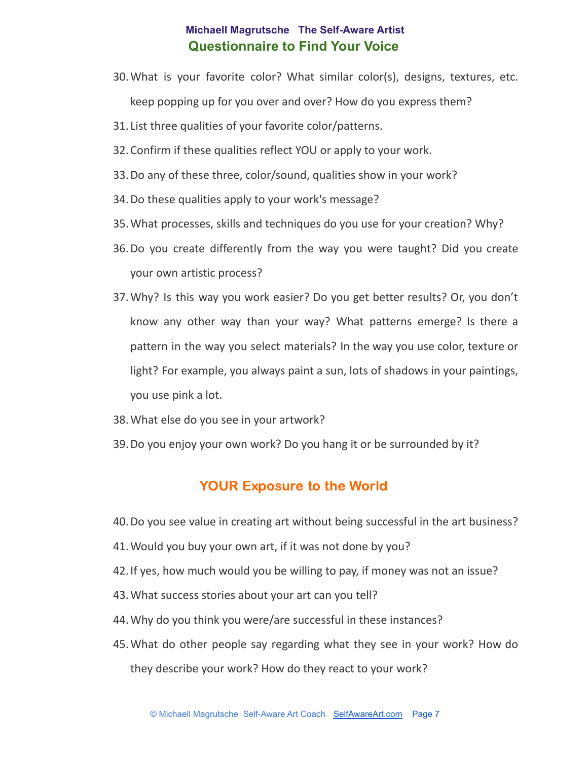- 30.What is your favorite color? What similar color(s), designs, textures, etc. keep popping up for you over and over? How do you express them?
- 31. List three qualities of your favorite color/patterns.
- 32.Confirm if these qualities reflect YOU or apply to your work.
- 33.Do any of these three, color/sound, qualities show in your work?
- 34.Do these qualities apply to your work's message?
- 35.What processes, skills and techniques do you use for your creation? Why?
- 36.Do you create differently from the way you were taught? Did you create your own artistic process?
- 37.Why? Is this way you work easier? Do you get better results? Or, you don't know any other way than your way? What patterns emerge? Is there a pattern in the way you select materials? In the way you use color, texture or light? For example, you always paint a sun, lots of shadows in your paintings, you use pink a lot.
- 38.What else do you see in your artwork?
- 39.Do you enjoy your own work? Do you hang it or be surrounded by it?

## YOUR Exposure to the World

- 40.Do you see value in creating art without being successful in the art business?
- 41.Would you buy your own art, if it was not done by you?
- 42.If yes, how much would you be willing to pay, if money was not an issue?
- 43.What success stories about your art can you tell?
- 44.Why do you think you were/are successful in these instances?
- 45.What do other people say regarding what they see in your work? How do they describe your work? How do they react to your work?